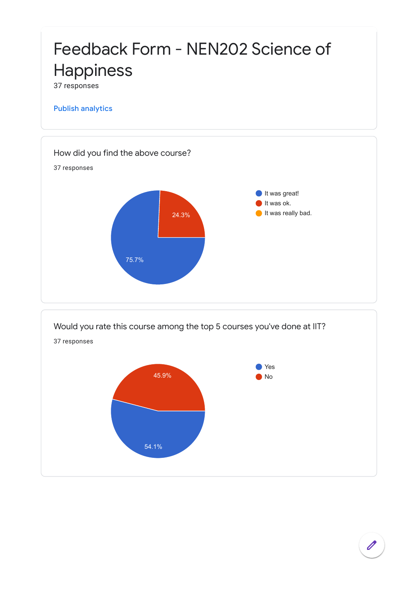

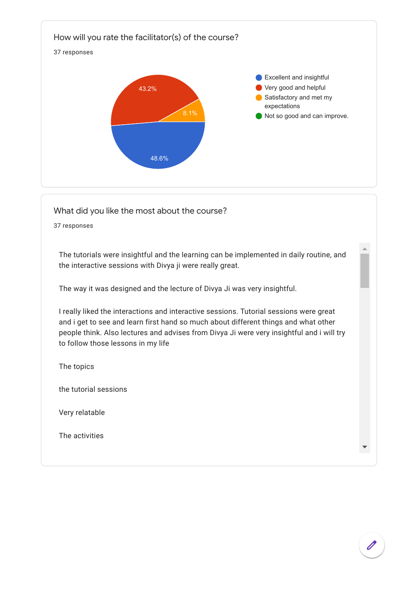

The tutorials were insightful and the learning can be implemented in daily routine, and the interactive sessions with Divya ji were really great.

The way it was designed and the lecture of Divya Ji was very insightful.

I really liked the interactions and interactive sessions. Tutorial sessions were great and i get to see and learn first hand so much about different things and what other people think. Also lectures and advises from Divya Ji were very insightful and i will try to follow those lessons in my life

The topics

the tutorial sessions

Very relatable

The activities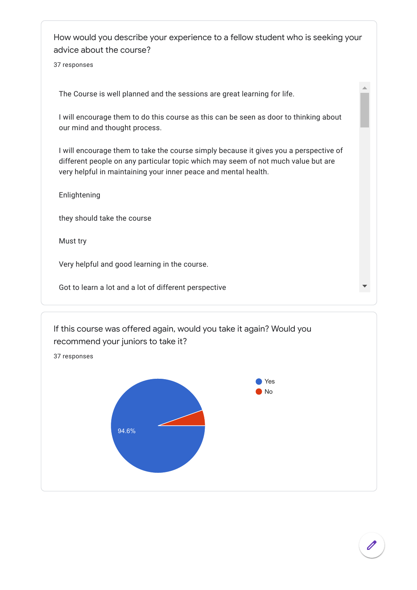How would you describe your experience to a fellow student who is seeking your advice about the course?

37 responses

The Course is well planned and the sessions are great learning for life.

I will encourage them to do this course as this can be seen as door to thinking about our mind and thought process.

I will encourage them to take the course simply because it gives you a perspective of different people on any particular topic which may seem of not much value but are very helpful in maintaining your inner peace and mental health.

Enlightening

they should take the course

Must try

Very helpful and good learning in the course.

Got to learn a lot and a lot of different perspective



 $\Delta$